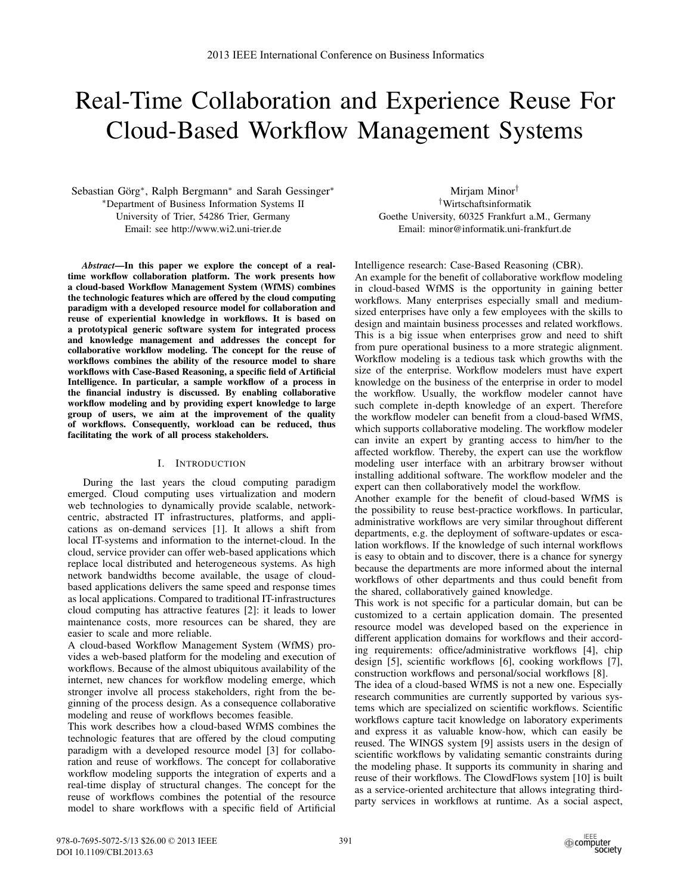# Real-Time Collaboration and Experience Reuse For Cloud-Based Workflow Management Systems

Sebastian Görg\*, Ralph Bergmann\* and Sarah Gessinger\* ∗Department of Business Information Systems II University of Trier, 54286 Trier, Germany Email: see http://www.wi2.uni-trier.de

*Abstract*—In this paper we explore the concept of a realtime workflow collaboration platform. The work presents how a cloud-based Workflow Management System (WfMS) combines the technologic features which are offered by the cloud computing paradigm with a developed resource model for collaboration and reuse of experiential knowledge in workflows. It is based on a prototypical generic software system for integrated process and knowledge management and addresses the concept for collaborative workflow modeling. The concept for the reuse of workflows combines the ability of the resource model to share workflows with Case-Based Reasoning, a specific field of Artificial Intelligence. In particular, a sample workflow of a process in the financial industry is discussed. By enabling collaborative workflow modeling and by providing expert knowledge to large group of users, we aim at the improvement of the quality of workflows. Consequently, workload can be reduced, thus facilitating the work of all process stakeholders.

# I. INTRODUCTION

During the last years the cloud computing paradigm emerged. Cloud computing uses virtualization and modern web technologies to dynamically provide scalable, networkcentric, abstracted IT infrastructures, platforms, and applications as on-demand services [1]. It allows a shift from local IT-systems and information to the internet-cloud. In the cloud, service provider can offer web-based applications which replace local distributed and heterogeneous systems. As high network bandwidths become available, the usage of cloudbased applications delivers the same speed and response times as local applications. Compared to traditional IT-infrastructures cloud computing has attractive features [2]: it leads to lower maintenance costs, more resources can be shared, they are easier to scale and more reliable.

A cloud-based Workflow Management System (WfMS) provides a web-based platform for the modeling and execution of workflows. Because of the almost ubiquitous availability of the internet, new chances for workflow modeling emerge, which stronger involve all process stakeholders, right from the beginning of the process design. As a consequence collaborative modeling and reuse of workflows becomes feasible.

This work describes how a cloud-based WfMS combines the technologic features that are offered by the cloud computing paradigm with a developed resource model [3] for collaboration and reuse of workflows. The concept for collaborative workflow modeling supports the integration of experts and a real-time display of structural changes. The concept for the reuse of workflows combines the potential of the resource model to share workflows with a specific field of Artificial

Mirjam Minor† †Wirtschaftsinformatik Goethe University, 60325 Frankfurt a.M., Germany Email: minor@informatik.uni-frankfurt.de

Intelligence research: Case-Based Reasoning (CBR). An example for the benefit of collaborative workflow modeling in cloud-based WfMS is the opportunity in gaining better workflows. Many enterprises especially small and mediumsized enterprises have only a few employees with the skills to design and maintain business processes and related workflows. This is a big issue when enterprises grow and need to shift from pure operational business to a more strategic alignment. Workflow modeling is a tedious task which growths with the size of the enterprise. Workflow modelers must have expert knowledge on the business of the enterprise in order to model the workflow. Usually, the workflow modeler cannot have such complete in-depth knowledge of an expert. Therefore the workflow modeler can benefit from a cloud-based WfMS, which supports collaborative modeling. The workflow modeler can invite an expert by granting access to him/her to the affected workflow. Thereby, the expert can use the workflow modeling user interface with an arbitrary browser without installing additional software. The workflow modeler and the expert can then collaboratively model the workflow.

Another example for the benefit of cloud-based WfMS is the possibility to reuse best-practice workflows. In particular, administrative workflows are very similar throughout different departments, e.g. the deployment of software-updates or escalation workflows. If the knowledge of such internal workflows is easy to obtain and to discover, there is a chance for synergy because the departments are more informed about the internal workflows of other departments and thus could benefit from the shared, collaboratively gained knowledge.

This work is not specific for a particular domain, but can be customized to a certain application domain. The presented resource model was developed based on the experience in different application domains for workflows and their according requirements: office/administrative workflows [4], chip design [5], scientific workflows [6], cooking workflows [7], construction workflows and personal/social workflows [8].

The idea of a cloud-based WfMS is not a new one. Especially research communities are currently supported by various systems which are specialized on scientific workflows. Scientific workflows capture tacit knowledge on laboratory experiments and express it as valuable know-how, which can easily be reused. The WINGS system [9] assists users in the design of scientific workflows by validating semantic constraints during the modeling phase. It supports its community in sharing and reuse of their workflows. The ClowdFlows system [10] is built as a service-oriented architecture that allows integrating thirdparty services in workflows at runtime. As a social aspect,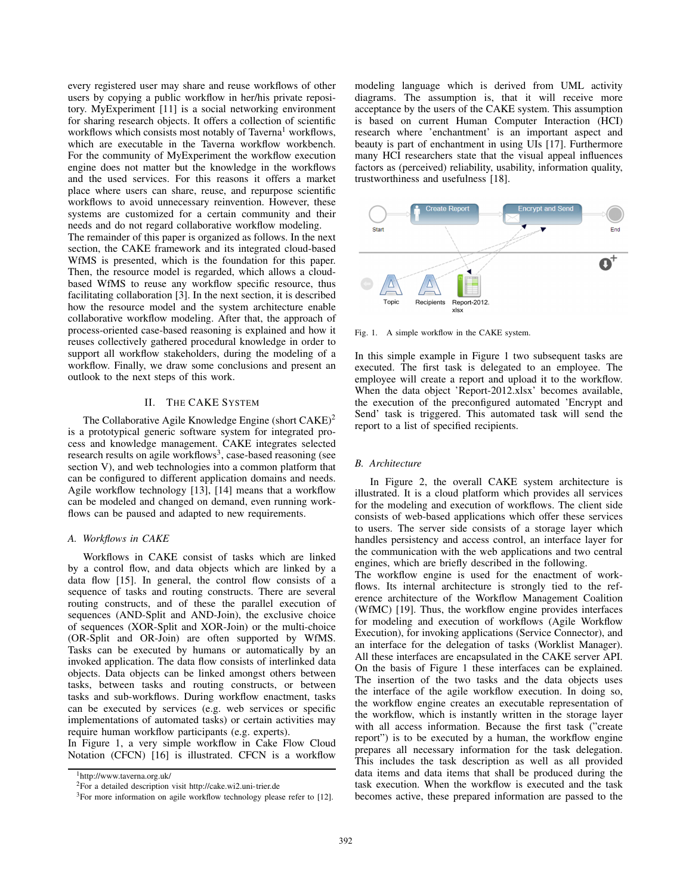every registered user may share and reuse workflows of other users by copying a public workflow in her/his private repository. MyExperiment [11] is a social networking environment for sharing research objects. It offers a collection of scientific workflows which consists most notably of Taverna<sup>1</sup> workflows, which are executable in the Taverna workflow workbench. For the community of MyExperiment the workflow execution engine does not matter but the knowledge in the workflows and the used services. For this reasons it offers a market place where users can share, reuse, and repurpose scientific workflows to avoid unnecessary reinvention. However, these systems are customized for a certain community and their needs and do not regard collaborative workflow modeling.

The remainder of this paper is organized as follows. In the next section, the CAKE framework and its integrated cloud-based WfMS is presented, which is the foundation for this paper. Then, the resource model is regarded, which allows a cloudbased WfMS to reuse any workflow specific resource, thus facilitating collaboration [3]. In the next section, it is described how the resource model and the system architecture enable collaborative workflow modeling. After that, the approach of process-oriented case-based reasoning is explained and how it reuses collectively gathered procedural knowledge in order to support all workflow stakeholders, during the modeling of a workflow. Finally, we draw some conclusions and present an outlook to the next steps of this work.

# II. THE CAKE SYSTEM

The Collaborative Agile Knowledge Engine (short CAKE)<sup>2</sup> is a prototypical generic software system for integrated process and knowledge management. CAKE integrates selected research results on agile workflows<sup>3</sup>, case-based reasoning (see section V), and web technologies into a common platform that can be configured to different application domains and needs. Agile workflow technology [13], [14] means that a workflow can be modeled and changed on demand, even running workflows can be paused and adapted to new requirements.

## *A. Workflows in CAKE*

Workflows in CAKE consist of tasks which are linked by a control flow, and data objects which are linked by a data flow [15]. In general, the control flow consists of a sequence of tasks and routing constructs. There are several routing constructs, and of these the parallel execution of sequences (AND-Split and AND-Join), the exclusive choice of sequences (XOR-Split and XOR-Join) or the multi-choice (OR-Split and OR-Join) are often supported by WfMS. Tasks can be executed by humans or automatically by an invoked application. The data flow consists of interlinked data objects. Data objects can be linked amongst others between tasks, between tasks and routing constructs, or between tasks and sub-workflows. During workflow enactment, tasks can be executed by services (e.g. web services or specific implementations of automated tasks) or certain activities may require human workflow participants (e.g. experts).

In Figure 1, a very simple workflow in Cake Flow Cloud Notation (CFCN) [16] is illustrated. CFCN is a workflow modeling language which is derived from UML activity diagrams. The assumption is, that it will receive more acceptance by the users of the CAKE system. This assumption is based on current Human Computer Interaction (HCI) research where 'enchantment' is an important aspect and beauty is part of enchantment in using UIs [17]. Furthermore many HCI researchers state that the visual appeal influences factors as (perceived) reliability, usability, information quality, trustworthiness and usefulness [18].



Fig. 1. A simple workflow in the CAKE system.

In this simple example in Figure 1 two subsequent tasks are executed. The first task is delegated to an employee. The employee will create a report and upload it to the workflow. When the data object 'Report-2012.xlsx' becomes available, the execution of the preconfigured automated 'Encrypt and Send' task is triggered. This automated task will send the report to a list of specified recipients.

#### *B. Architecture*

In Figure 2, the overall CAKE system architecture is illustrated. It is a cloud platform which provides all services for the modeling and execution of workflows. The client side consists of web-based applications which offer these services to users. The server side consists of a storage layer which handles persistency and access control, an interface layer for the communication with the web applications and two central engines, which are briefly described in the following.

The workflow engine is used for the enactment of workflows. Its internal architecture is strongly tied to the reference architecture of the Workflow Management Coalition (WfMC) [19]. Thus, the workflow engine provides interfaces for modeling and execution of workflows (Agile Workflow Execution), for invoking applications (Service Connector), and an interface for the delegation of tasks (Worklist Manager). All these interfaces are encapsulated in the CAKE server API. On the basis of Figure 1 these interfaces can be explained. The insertion of the two tasks and the data objects uses the interface of the agile workflow execution. In doing so, the workflow engine creates an executable representation of the workflow, which is instantly written in the storage layer with all access information. Because the first task ("create report") is to be executed by a human, the workflow engine prepares all necessary information for the task delegation. This includes the task description as well as all provided data items and data items that shall be produced during the task execution. When the workflow is executed and the task becomes active, these prepared information are passed to the

<sup>1</sup>http://www.taverna.org.uk/

<sup>2</sup>For a detailed description visit http://cake.wi2.uni-trier.de

<sup>&</sup>lt;sup>3</sup>For more information on agile workflow technology please refer to [12].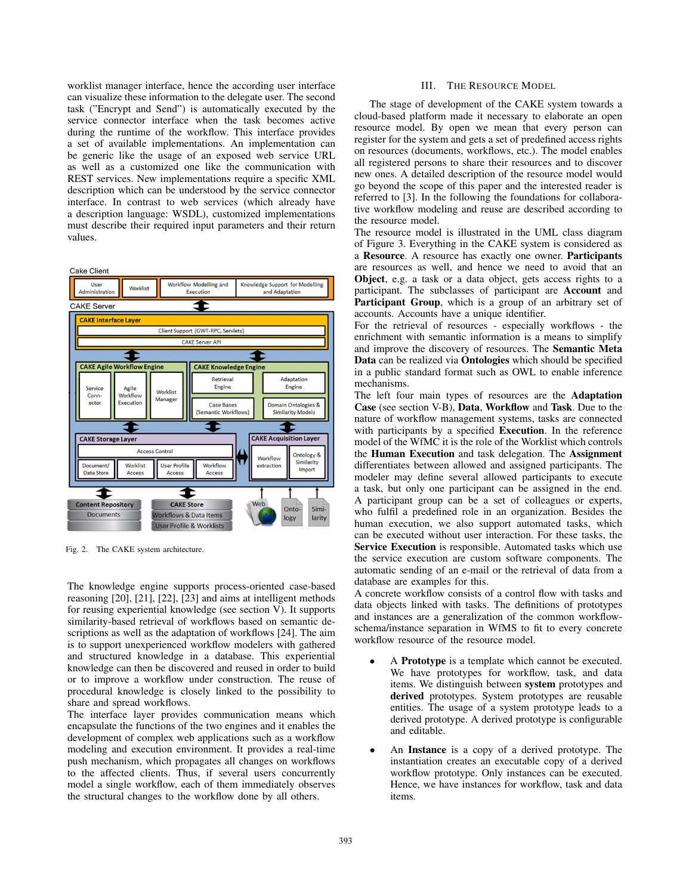worklist manager interface, hence the according user interface can visualize these information to the delegate user. The second task ("Encrypt and Send") is automatically executed by the service connector interface when the task becomes active during the runtime of the workflow. This interface provides a set of available implementations. An implementation can be generic like the usage of an exposed web service URL as well as a customized one like the communication with REST services. New implementations require a specific XML description which can be understood by the service connector interface. In contrast to web services (which already have a description language: WSDL), customized implementations must describe their required input parameters and their return values.



Fig. 2. The CAKE system architecture.

The knowledge engine supports process-oriented case-based reasoning [20], [21], [22], [23] and aims at intelligent methods for reusing experiential knowledge (see section V). It supports similarity-based retrieval of workflows based on semantic descriptions as well as the adaptation of workflows [24]. The aim is to support unexperienced workflow modelers with gathered and structured knowledge in a database. This experiential knowledge can then be discovered and reused in order to build or to improve a workflow under construction. The reuse of procedural knowledge is closely linked to the possibility to share and spread workflows.

The interface layer provides communication means which encapsulate the functions of the two engines and it enables the development of complex web applications such as a workflow modeling and execution environment. It provides a real-time push mechanism, which propagates all changes on workflows to the affected clients. Thus, if several users concurrently model a single workflow, each of them immediately observes the structural changes to the workflow done by all others.

# III. THE RESOURCE MODEL

The stage of development of the CAKE system towards a cloud-based platform made it necessary to elaborate an open resource model. By open we mean that every person can register for the system and gets a set of predefined access rights on resources (documents, workflows, etc.). The model enables all registered persons to share their resources and to discover new ones. A detailed description of the resource model would go beyond the scope of this paper and the interested reader is referred to [3]. In the following the foundations for collaborative workflow modeling and reuse are described according to the resource model.

The resource model is illustrated in the UML class diagram of Figure 3. Everything in the CAKE system is considered as a Resource. A resource has exactly one owner. Participants are resources as well, and hence we need to avoid that an Object, e.g. a task or a data object, gets access rights to a participant. The subclasses of participant are Account and Participant Group, which is a group of an arbitrary set of accounts. Accounts have a unique identifier.

For the retrieval of resources - especially workflows - the enrichment with semantic information is a means to simplify and improve the discovery of resources. The Semantic Meta Data can be realized via Ontologies which should be specified in a public standard format such as OWL to enable inference mechanisms.

The left four main types of resources are the **Adaptation** Case (see section V-B), Data, Workflow and Task. Due to the nature of workflow management systems, tasks are connected with participants by a specified Execution. In the reference model of the WfMC it is the role of the Worklist which controls the Human Execution and task delegation. The Assignment differentiates between allowed and assigned participants. The modeler may define several allowed participants to execute a task, but only one participant can be assigned in the end. A participant group can be a set of colleagues or experts, who fulfil a predefined role in an organization. Besides the human execution, we also support automated tasks, which can be executed without user interaction. For these tasks, the Service Execution is responsible. Automated tasks which use the service execution are custom software components. The automatic sending of an e-mail or the retrieval of data from a database are examples for this.

A concrete workflow consists of a control flow with tasks and data objects linked with tasks. The definitions of prototypes and instances are a generalization of the common workflowschema/instance separation in WfMS to fit to every concrete workflow resource of the resource model.

- A Prototype is a template which cannot be executed. We have prototypes for workflow, task, and data items. We distinguish between system prototypes and derived prototypes. System prototypes are reusable entities. The usage of a system prototype leads to a derived prototype. A derived prototype is configurable and editable.
- An **Instance** is a copy of a derived prototype. The instantiation creates an executable copy of a derived workflow prototype. Only instances can be executed. Hence, we have instances for workflow, task and data items.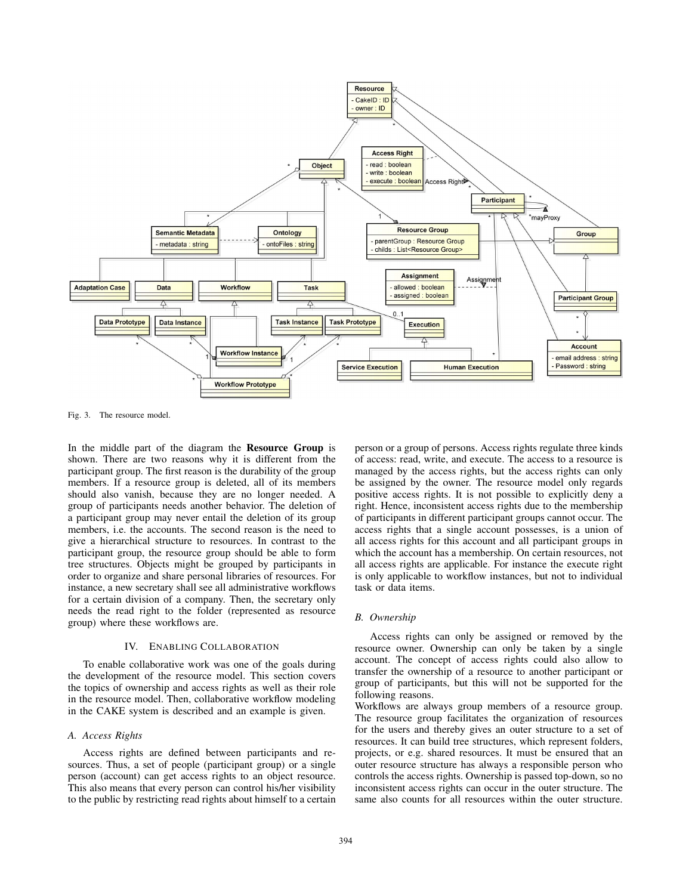

Fig. 3. The resource model.

In the middle part of the diagram the Resource Group is shown. There are two reasons why it is different from the participant group. The first reason is the durability of the group members. If a resource group is deleted, all of its members should also vanish, because they are no longer needed. A group of participants needs another behavior. The deletion of a participant group may never entail the deletion of its group members, i.e. the accounts. The second reason is the need to give a hierarchical structure to resources. In contrast to the participant group, the resource group should be able to form tree structures. Objects might be grouped by participants in order to organize and share personal libraries of resources. For instance, a new secretary shall see all administrative workflows for a certain division of a company. Then, the secretary only needs the read right to the folder (represented as resource group) where these workflows are.

## IV. ENABLING COLLABORATION

To enable collaborative work was one of the goals during the development of the resource model. This section covers the topics of ownership and access rights as well as their role in the resource model. Then, collaborative workflow modeling in the CAKE system is described and an example is given.

## *A. Access Rights*

Access rights are defined between participants and resources. Thus, a set of people (participant group) or a single person (account) can get access rights to an object resource. This also means that every person can control his/her visibility to the public by restricting read rights about himself to a certain person or a group of persons. Access rights regulate three kinds of access: read, write, and execute. The access to a resource is managed by the access rights, but the access rights can only be assigned by the owner. The resource model only regards positive access rights. It is not possible to explicitly deny a right. Hence, inconsistent access rights due to the membership of participants in different participant groups cannot occur. The access rights that a single account possesses, is a union of all access rights for this account and all participant groups in which the account has a membership. On certain resources, not all access rights are applicable. For instance the execute right is only applicable to workflow instances, but not to individual task or data items.

#### *B. Ownership*

Access rights can only be assigned or removed by the resource owner. Ownership can only be taken by a single account. The concept of access rights could also allow to transfer the ownership of a resource to another participant or group of participants, but this will not be supported for the following reasons.

Workflows are always group members of a resource group. The resource group facilitates the organization of resources for the users and thereby gives an outer structure to a set of resources. It can build tree structures, which represent folders, projects, or e.g. shared resources. It must be ensured that an outer resource structure has always a responsible person who controls the access rights. Ownership is passed top-down, so no inconsistent access rights can occur in the outer structure. The same also counts for all resources within the outer structure.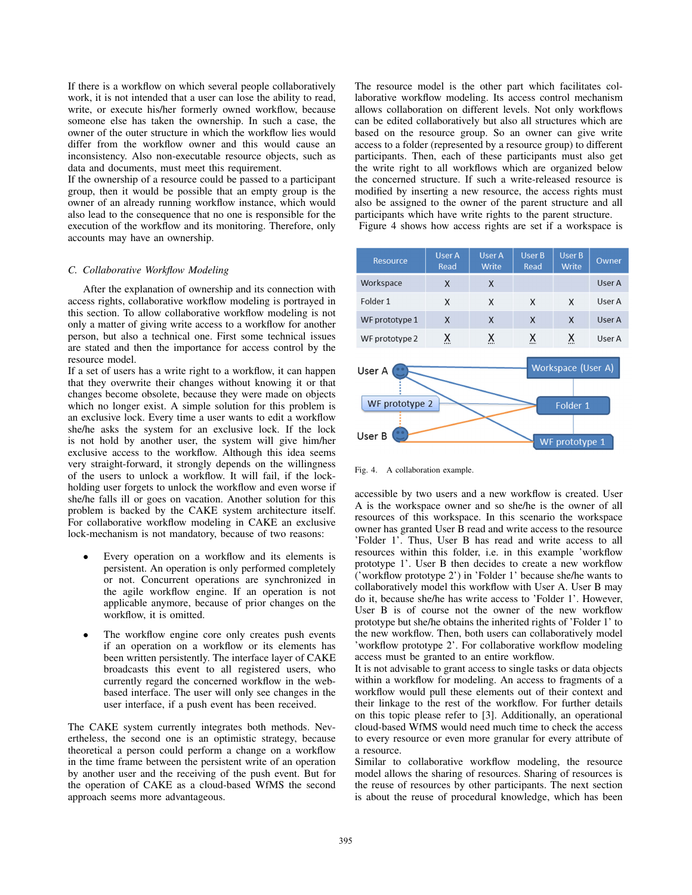If there is a workflow on which several people collaboratively work, it is not intended that a user can lose the ability to read, write, or execute his/her formerly owned workflow, because someone else has taken the ownership. In such a case, the owner of the outer structure in which the workflow lies would differ from the workflow owner and this would cause an inconsistency. Also non-executable resource objects, such as data and documents, must meet this requirement.

If the ownership of a resource could be passed to a participant group, then it would be possible that an empty group is the owner of an already running workflow instance, which would also lead to the consequence that no one is responsible for the execution of the workflow and its monitoring. Therefore, only accounts may have an ownership.

#### *C. Collaborative Workflow Modeling*

After the explanation of ownership and its connection with access rights, collaborative workflow modeling is portrayed in this section. To allow collaborative workflow modeling is not only a matter of giving write access to a workflow for another person, but also a technical one. First some technical issues are stated and then the importance for access control by the resource model.

If a set of users has a write right to a workflow, it can happen that they overwrite their changes without knowing it or that changes become obsolete, because they were made on objects which no longer exist. A simple solution for this problem is an exclusive lock. Every time a user wants to edit a workflow she/he asks the system for an exclusive lock. If the lock is not hold by another user, the system will give him/her exclusive access to the workflow. Although this idea seems very straight-forward, it strongly depends on the willingness of the users to unlock a workflow. It will fail, if the lockholding user forgets to unlock the workflow and even worse if she/he falls ill or goes on vacation. Another solution for this problem is backed by the CAKE system architecture itself. For collaborative workflow modeling in CAKE an exclusive lock-mechanism is not mandatory, because of two reasons:

- Every operation on a workflow and its elements is persistent. An operation is only performed completely or not. Concurrent operations are synchronized in the agile workflow engine. If an operation is not applicable anymore, because of prior changes on the workflow, it is omitted.
- The workflow engine core only creates push events if an operation on a workflow or its elements has been written persistently. The interface layer of CAKE broadcasts this event to all registered users, who currently regard the concerned workflow in the webbased interface. The user will only see changes in the user interface, if a push event has been received.

The CAKE system currently integrates both methods. Nevertheless, the second one is an optimistic strategy, because theoretical a person could perform a change on a workflow in the time frame between the persistent write of an operation by another user and the receiving of the push event. But for the operation of CAKE as a cloud-based WfMS the second approach seems more advantageous.

The resource model is the other part which facilitates collaborative workflow modeling. Its access control mechanism allows collaboration on different levels. Not only workflows can be edited collaboratively but also all structures which are based on the resource group. So an owner can give write access to a folder (represented by a resource group) to different participants. Then, each of these participants must also get the write right to all workflows which are organized below the concerned structure. If such a write-released resource is modified by inserting a new resource, the access rights must also be assigned to the owner of the parent structure and all participants which have write rights to the parent structure.

Figure 4 shows how access rights are set if a workspace is

| <b>Resource</b>                                                                        | User A<br><b>Read</b> | User A<br>Write | User B<br>Read | User B<br>Write         | Owner  |
|----------------------------------------------------------------------------------------|-----------------------|-----------------|----------------|-------------------------|--------|
| Workspace                                                                              | X                     | X               |                |                         | User A |
| Folder 1                                                                               | X                     | X               | X              | X                       | User A |
| WF prototype 1                                                                         | X                     | $\mathsf{x}$    | X              | X                       | User A |
| WF prototype 2                                                                         | Ä                     | <u>X</u>        | Ÿ              | $\overline{\mathsf{X}}$ | User A |
| Workspace (User A)<br>User A<br>WF prototype 2<br>Folder 1<br>User B<br>WF prototype 1 |                       |                 |                |                         |        |

Fig. 4. A collaboration example.

accessible by two users and a new workflow is created. User A is the workspace owner and so she/he is the owner of all resources of this workspace. In this scenario the workspace owner has granted User B read and write access to the resource 'Folder 1'. Thus, User B has read and write access to all resources within this folder, i.e. in this example 'workflow prototype 1'. User B then decides to create a new workflow ('workflow prototype 2') in 'Folder 1' because she/he wants to collaboratively model this workflow with User A. User B may do it, because she/he has write access to 'Folder 1'. However, User B is of course not the owner of the new workflow prototype but she/he obtains the inherited rights of 'Folder 1' to the new workflow. Then, both users can collaboratively model 'workflow prototype 2'. For collaborative workflow modeling access must be granted to an entire workflow.

It is not advisable to grant access to single tasks or data objects within a workflow for modeling. An access to fragments of a workflow would pull these elements out of their context and their linkage to the rest of the workflow. For further details on this topic please refer to [3]. Additionally, an operational cloud-based WfMS would need much time to check the access to every resource or even more granular for every attribute of a resource.

Similar to collaborative workflow modeling, the resource model allows the sharing of resources. Sharing of resources is the reuse of resources by other participants. The next section is about the reuse of procedural knowledge, which has been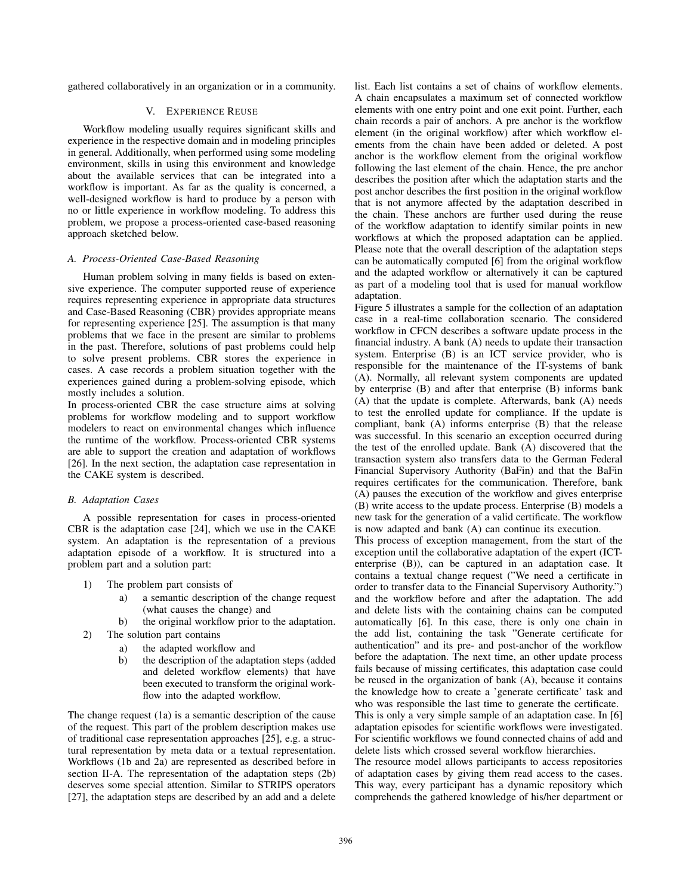gathered collaboratively in an organization or in a community.

## V. EXPERIENCE REUSE

Workflow modeling usually requires significant skills and experience in the respective domain and in modeling principles in general. Additionally, when performed using some modeling environment, skills in using this environment and knowledge about the available services that can be integrated into a workflow is important. As far as the quality is concerned, a well-designed workflow is hard to produce by a person with no or little experience in workflow modeling. To address this problem, we propose a process-oriented case-based reasoning approach sketched below.

## *A. Process-Oriented Case-Based Reasoning*

Human problem solving in many fields is based on extensive experience. The computer supported reuse of experience requires representing experience in appropriate data structures and Case-Based Reasoning (CBR) provides appropriate means for representing experience [25]. The assumption is that many problems that we face in the present are similar to problems in the past. Therefore, solutions of past problems could help to solve present problems. CBR stores the experience in cases. A case records a problem situation together with the experiences gained during a problem-solving episode, which mostly includes a solution.

In process-oriented CBR the case structure aims at solving problems for workflow modeling and to support workflow modelers to react on environmental changes which influence the runtime of the workflow. Process-oriented CBR systems are able to support the creation and adaptation of workflows [26]. In the next section, the adaptation case representation in the CAKE system is described.

#### *B. Adaptation Cases*

A possible representation for cases in process-oriented CBR is the adaptation case [24], which we use in the CAKE system. An adaptation is the representation of a previous adaptation episode of a workflow. It is structured into a problem part and a solution part:

- 1) The problem part consists of
	- a) a semantic description of the change request (what causes the change) and
	- b) the original workflow prior to the adaptation.
- 2) The solution part contains
	- a) the adapted workflow and
	- b) the description of the adaptation steps (added and deleted workflow elements) that have been executed to transform the original workflow into the adapted workflow.

The change request (1a) is a semantic description of the cause of the request. This part of the problem description makes use of traditional case representation approaches [25], e.g. a structural representation by meta data or a textual representation. Workflows (1b and 2a) are represented as described before in section II-A. The representation of the adaptation steps (2b) deserves some special attention. Similar to STRIPS operators [27], the adaptation steps are described by an add and a delete list. Each list contains a set of chains of workflow elements. A chain encapsulates a maximum set of connected workflow elements with one entry point and one exit point. Further, each chain records a pair of anchors. A pre anchor is the workflow element (in the original workflow) after which workflow elements from the chain have been added or deleted. A post anchor is the workflow element from the original workflow following the last element of the chain. Hence, the pre anchor describes the position after which the adaptation starts and the post anchor describes the first position in the original workflow that is not anymore affected by the adaptation described in the chain. These anchors are further used during the reuse of the workflow adaptation to identify similar points in new workflows at which the proposed adaptation can be applied. Please note that the overall description of the adaptation steps can be automatically computed [6] from the original workflow and the adapted workflow or alternatively it can be captured as part of a modeling tool that is used for manual workflow adaptation.

Figure 5 illustrates a sample for the collection of an adaptation case in a real-time collaboration scenario. The considered workflow in CFCN describes a software update process in the financial industry. A bank (A) needs to update their transaction system. Enterprise (B) is an ICT service provider, who is responsible for the maintenance of the IT-systems of bank (A). Normally, all relevant system components are updated by enterprise (B) and after that enterprise (B) informs bank (A) that the update is complete. Afterwards, bank (A) needs to test the enrolled update for compliance. If the update is compliant, bank (A) informs enterprise (B) that the release was successful. In this scenario an exception occurred during the test of the enrolled update. Bank (A) discovered that the transaction system also transfers data to the German Federal Financial Supervisory Authority (BaFin) and that the BaFin requires certificates for the communication. Therefore, bank (A) pauses the execution of the workflow and gives enterprise (B) write access to the update process. Enterprise (B) models a new task for the generation of a valid certificate. The workflow is now adapted and bank (A) can continue its execution.

This process of exception management, from the start of the exception until the collaborative adaptation of the expert (ICTenterprise (B)), can be captured in an adaptation case. It contains a textual change request ("We need a certificate in order to transfer data to the Financial Supervisory Authority.") and the workflow before and after the adaptation. The add and delete lists with the containing chains can be computed automatically [6]. In this case, there is only one chain in the add list, containing the task "Generate certificate for authentication" and its pre- and post-anchor of the workflow before the adaptation. The next time, an other update process fails because of missing certificates, this adaptation case could be reused in the organization of bank (A), because it contains the knowledge how to create a 'generate certificate' task and who was responsible the last time to generate the certificate. This is only a very simple sample of an adaptation case. In [6] adaptation episodes for scientific workflows were investigated. For scientific workflows we found connected chains of add and delete lists which crossed several workflow hierarchies.

The resource model allows participants to access repositories of adaptation cases by giving them read access to the cases. This way, every participant has a dynamic repository which comprehends the gathered knowledge of his/her department or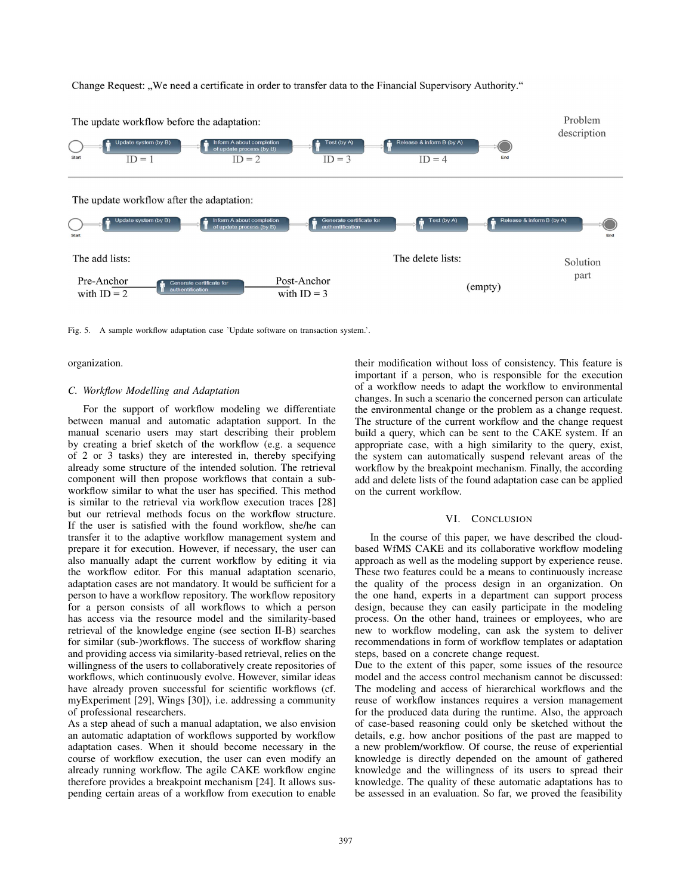Change Request: "We need a certificate in order to transfer data to the Financial Supervisory Authority."



Fig. 5. A sample workflow adaptation case 'Update software on transaction system.'.

organization.

## *C. Workflow Modelling and Adaptation*

For the support of workflow modeling we differentiate between manual and automatic adaptation support. In the manual scenario users may start describing their problem by creating a brief sketch of the workflow (e.g. a sequence of 2 or 3 tasks) they are interested in, thereby specifying already some structure of the intended solution. The retrieval component will then propose workflows that contain a subworkflow similar to what the user has specified. This method is similar to the retrieval via workflow execution traces [28] but our retrieval methods focus on the workflow structure. If the user is satisfied with the found workflow, she/he can transfer it to the adaptive workflow management system and prepare it for execution. However, if necessary, the user can also manually adapt the current workflow by editing it via the workflow editor. For this manual adaptation scenario, adaptation cases are not mandatory. It would be sufficient for a person to have a workflow repository. The workflow repository for a person consists of all workflows to which a person has access via the resource model and the similarity-based retrieval of the knowledge engine (see section II-B) searches for similar (sub-)workflows. The success of workflow sharing and providing access via similarity-based retrieval, relies on the willingness of the users to collaboratively create repositories of workflows, which continuously evolve. However, similar ideas have already proven successful for scientific workflows (cf. myExperiment [29], Wings [30]), i.e. addressing a community of professional researchers.

As a step ahead of such a manual adaptation, we also envision an automatic adaptation of workflows supported by workflow adaptation cases. When it should become necessary in the course of workflow execution, the user can even modify an already running workflow. The agile CAKE workflow engine therefore provides a breakpoint mechanism [24]. It allows suspending certain areas of a workflow from execution to enable their modification without loss of consistency. This feature is important if a person, who is responsible for the execution of a workflow needs to adapt the workflow to environmental changes. In such a scenario the concerned person can articulate the environmental change or the problem as a change request. The structure of the current workflow and the change request build a query, which can be sent to the CAKE system. If an appropriate case, with a high similarity to the query, exist, the system can automatically suspend relevant areas of the workflow by the breakpoint mechanism. Finally, the according add and delete lists of the found adaptation case can be applied on the current workflow.

# VI. CONCLUSION

In the course of this paper, we have described the cloudbased WfMS CAKE and its collaborative workflow modeling approach as well as the modeling support by experience reuse. These two features could be a means to continuously increase the quality of the process design in an organization. On the one hand, experts in a department can support process design, because they can easily participate in the modeling process. On the other hand, trainees or employees, who are new to workflow modeling, can ask the system to deliver recommendations in form of workflow templates or adaptation steps, based on a concrete change request.

Due to the extent of this paper, some issues of the resource model and the access control mechanism cannot be discussed: The modeling and access of hierarchical workflows and the reuse of workflow instances requires a version management for the produced data during the runtime. Also, the approach of case-based reasoning could only be sketched without the details, e.g. how anchor positions of the past are mapped to a new problem/workflow. Of course, the reuse of experiential knowledge is directly depended on the amount of gathered knowledge and the willingness of its users to spread their knowledge. The quality of these automatic adaptations has to be assessed in an evaluation. So far, we proved the feasibility